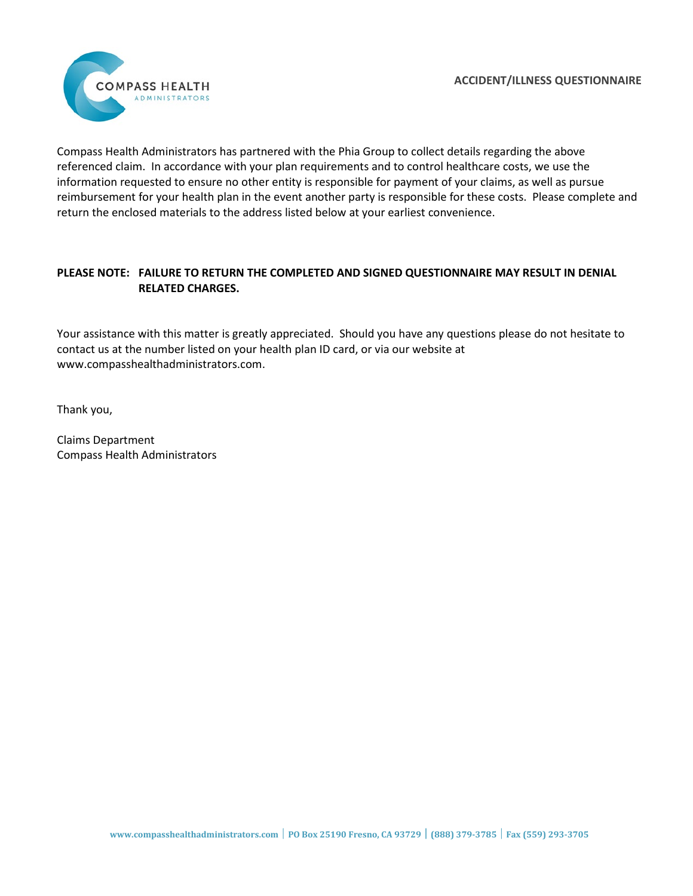

Compass Health Administrators has partnered with the Phia Group to collect details regarding the above referenced claim. In accordance with your plan requirements and to control healthcare costs, we use the information requested to ensure no other entity is responsible for payment of your claims, as well as pursue reimbursement for your health plan in the event another party is responsible for these costs. Please complete and return the enclosed materials to the address listed below at your earliest convenience.

# **PLEASE NOTE: FAILURE TO RETURN THE COMPLETED AND SIGNED QUESTIONNAIRE MAY RESULT IN DENIAL RELATED CHARGES.**

Your assistance with this matter is greatly appreciated. Should you have any questions please do not hesitate to contact us at the number listed on your health plan ID card, or via our website at www.compasshealthadministrators.com.

Thank you,

Claims Department Compass Health Administrators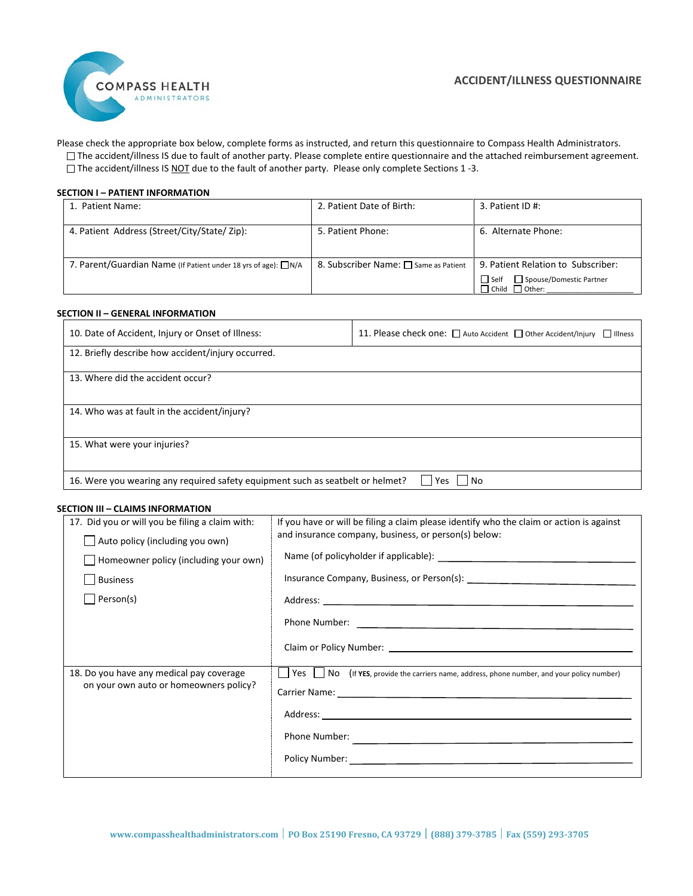

Please check the appropriate box below, complete forms as instructed, and return this questionnaire to Compass Health Administrators. The accident/illness IS due to fault of another party. Please complete entire questionnaire and the attached reimbursement agreement. □ The accident/illness IS NOT due to the fault of another party. Please only complete Sections 1 -3.

### **SECTION I – PATIENT INFORMATION**

| 1. Patient Name:                                                     | 2. Patient Date of Birth:             | 3. Patient ID #:                                                                                      |
|----------------------------------------------------------------------|---------------------------------------|-------------------------------------------------------------------------------------------------------|
| 4. Patient Address (Street/City/State/Zip):                          | 5. Patient Phone:                     | 6. Alternate Phone:                                                                                   |
| 7. Parent/Guardian Name (If Patient under 18 yrs of age): $\Box N/A$ | 8. Subscriber Name: □ Same as Patient | 9. Patient Relation to Subscriber:<br>Spouse/Domestic Partner<br>∐ Self<br>$\Box$ Child $\Box$ Other: |

### **SECTION II – GENERAL INFORMATION**

| 10. Date of Accident, Injury or Onset of Illness:                              | 11. Please check one: □ Auto Accident □ Other Accident/Injury<br>$\Box$ Illness |
|--------------------------------------------------------------------------------|---------------------------------------------------------------------------------|
| 12. Briefly describe how accident/injury occurred.                             |                                                                                 |
| 13. Where did the accident occur?                                              |                                                                                 |
| 14. Who was at fault in the accident/injury?                                   |                                                                                 |
| 15. What were your injuries?                                                   |                                                                                 |
| 16. Were you wearing any required safety equipment such as seatbelt or helmet? | l Yes<br>l INo                                                                  |

#### **SECTION III – CLAIMS INFORMATION**

| 17. Did you or will you be filing a claim with:<br>$\Box$ Auto policy (including you own)<br>$\Box$ Homeowner policy (including your own)<br><b>Business</b> | If you have or will be filing a claim please identify who the claim or action is against<br>and insurance company, business, or person(s) below:                                                                                                                                                                                    |
|--------------------------------------------------------------------------------------------------------------------------------------------------------------|-------------------------------------------------------------------------------------------------------------------------------------------------------------------------------------------------------------------------------------------------------------------------------------------------------------------------------------|
| Person(s)                                                                                                                                                    | Address: <u>Address:</u> Address: Address: Address: Address: Address: Address: Address: Address: Address: Address: Address: Address: Address: Address: Address: Address: Address: Address: Address: Address: Address: Address: Addr                                                                                                 |
| 18. Do you have any medical pay coverage<br>on your own auto or homeowners policy?                                                                           | [Ses   No (If YES, provide the carriers name, address, phone number, and your policy number)<br>Phone Number: <b>All Accords</b> (2012) 2014 12:00 12:00 12:00 12:00 12:00 12:00 12:00 12:00 12:00 12:00 12:00 12:00 12:00 12:00 12:00 12:00 12:00 12:00 12:00 12:00 12:00 12:00 12:00 12:00 12:00 12:00 12:00 12:00 12:00 12:00 12 |